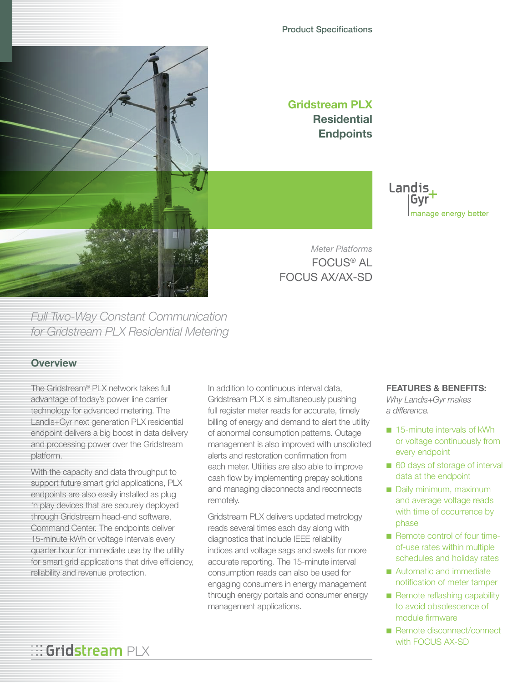

# Product Specifications

**Gridstream PLX Residential Endpoints**

> Landis Gvr manage energy better

*Meter Platforms* FOCUS® AL FOCUS AX/AX-SD

*Full Two-Way Constant Communication for Gridstream PLX Residential Metering*

# **Overview**

The Gridstream® PLX network takes full advantage of today's power line carrier technology for advanced metering. The Landis+Gyr next generation PLX residential endpoint delivers a big boost in data delivery and processing power over the Gridstream platform.

With the capacity and data throughput to support future smart grid applications, PLX endpoints are also easily installed as plug 'n play devices that are securely deployed through Gridstream head-end software, Command Center. The endpoints deliver 15-minute kWh or voltage intervals every quarter hour for immediate use by the utility for smart grid applications that drive efficiency, reliability and revenue protection.

**::: Gridstream PLX** 

In addition to continuous interval data, Gridstream PLX is simultaneously pushing full register meter reads for accurate, timely billing of energy and demand to alert the utility of abnormal consumption patterns. Outage management is also improved with unsolicited alerts and restoration confirmation from each meter. Utilities are also able to improve cash flow by implementing prepay solutions and managing disconnects and reconnects remotely.

Gridstream PLX delivers updated metrology reads several times each day along with diagnostics that include IEEE reliability indices and voltage sags and swells for more accurate reporting. The 15-minute interval consumption reads can also be used for engaging consumers in energy management through energy portals and consumer energy management applications.

### **FEATURES & BENEFITS:**

*Why Landis+Gyr makes a difference.*

- 15-minute intervals of kWh or voltage continuously from every endpoint
- 60 days of storage of interval data at the endpoint
- Daily minimum, maximum and average voltage reads with time of occurrence by phase
- Remote control of four timeof-use rates within multiple schedules and holiday rates
- Automatic and immediate notification of meter tamper
- Remote reflashing capability to avoid obsolescence of module firmware
- Remote disconnect/connect with FOCUS AX-SD